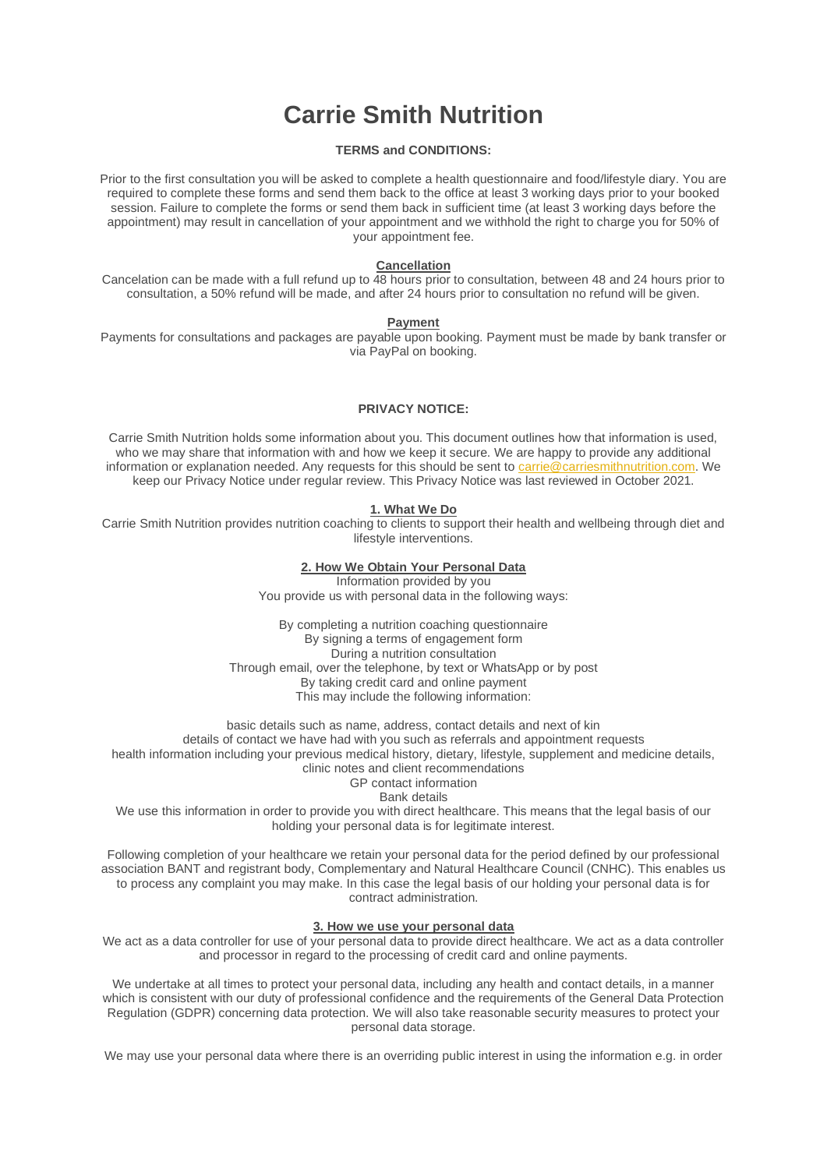# **Carrie Smith Nutrition**

# **TERMS and CONDITIONS:**

Prior to the first consultation you will be asked to complete a health questionnaire and food/lifestyle diary. You are required to complete these forms and send them back to the office at least 3 working days prior to your booked session. Failure to complete the forms or send them back in sufficient time (at least 3 working days before the appointment) may result in cancellation of your appointment and we withhold the right to charge you for 50% of your appointment fee.

#### **Cancellation**

Cancelation can be made with a full refund up to 48 hours prior to consultation, between 48 and 24 hours prior to consultation, a 50% refund will be made, and after 24 hours prior to consultation no refund will be given.

#### **Payment**

Payments for consultations and packages are payable upon booking. Payment must be made by bank transfer or via PayPal on booking.

## **PRIVACY NOTICE:**

Carrie Smith Nutrition holds some information about you. This document outlines how that information is used, who we may share that information with and how we keep it secure. We are happy to provide any additional information or explanation needed. Any requests for this should be sent to [carrie@carriesmithnutrition.com.](mailto:carrie@carriesmithnutrition.com) We keep our Privacy Notice under regular review. This Privacy Notice was last reviewed in October 2021.

## **1. What We Do**

Carrie Smith Nutrition provides nutrition coaching to clients to support their health and wellbeing through diet and lifestyle interventions.

#### **2. How We Obtain Your Personal Data**

Information provided by you You provide us with personal data in the following ways:

By completing a nutrition coaching questionnaire By signing a terms of engagement form During a nutrition consultation Through email, over the telephone, by text or WhatsApp or by post By taking credit card and online payment This may include the following information:

basic details such as name, address, contact details and next of kin details of contact we have had with you such as referrals and appointment requests health information including your previous medical history, dietary, lifestyle, supplement and medicine details, clinic notes and client recommendations

GP contact information

Bank details

We use this information in order to provide you with direct healthcare. This means that the legal basis of our holding your personal data is for legitimate interest.

Following completion of your healthcare we retain your personal data for the period defined by our professional association BANT and registrant body, Complementary and Natural Healthcare Council (CNHC). This enables us to process any complaint you may make. In this case the legal basis of our holding your personal data is for contract administration.

#### **3. How we use your personal data**

We act as a data controller for use of your personal data to provide direct healthcare. We act as a data controller and processor in regard to the processing of credit card and online payments.

We undertake at all times to protect your personal data, including any health and contact details, in a manner which is consistent with our duty of professional confidence and the requirements of the General Data Protection Regulation (GDPR) concerning data protection. We will also take reasonable security measures to protect your personal data storage.

We may use your personal data where there is an overriding public interest in using the information e.g. in order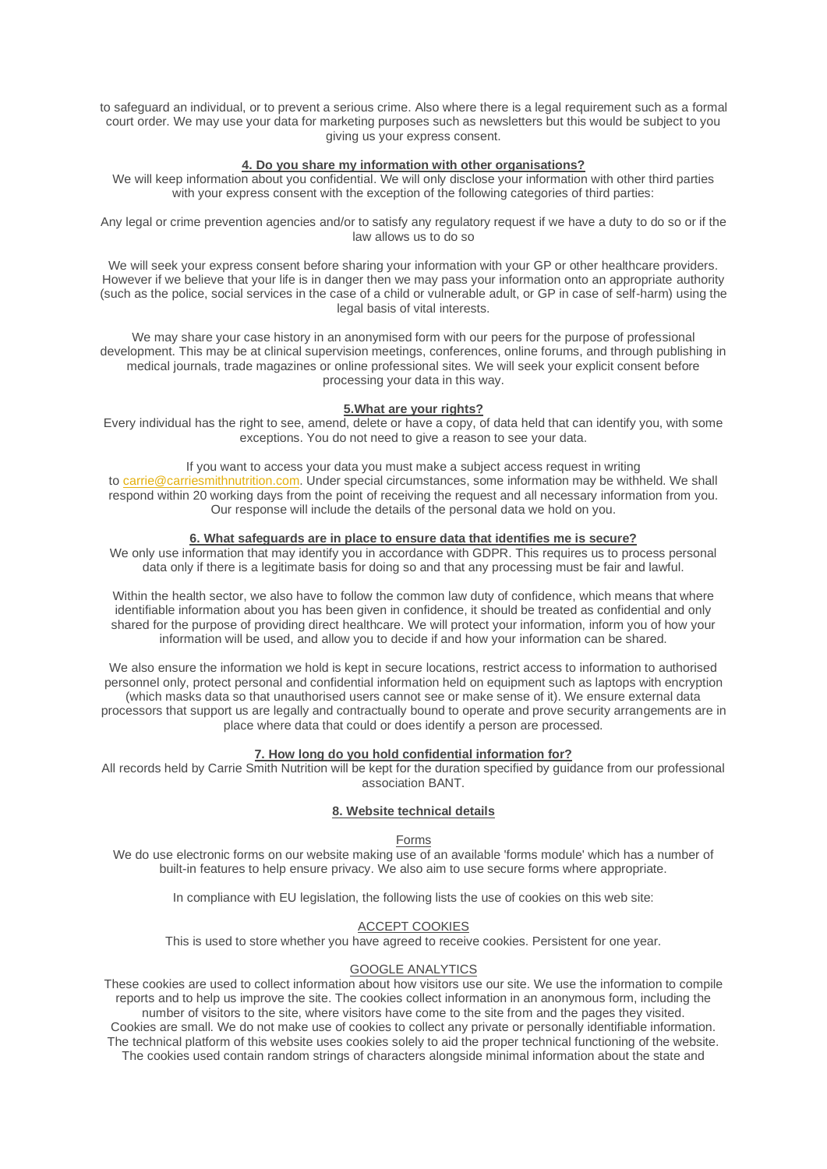to safeguard an individual, or to prevent a serious crime. Also where there is a legal requirement such as a formal court order. We may use your data for marketing purposes such as newsletters but this would be subject to you giving us your express consent.

#### **4. Do you share my information with other organisations?**

We will keep information about you confidential. We will only disclose your information with other third parties with your express consent with the exception of the following categories of third parties:

Any legal or crime prevention agencies and/or to satisfy any regulatory request if we have a duty to do so or if the law allows us to do so

We will seek your express consent before sharing your information with your GP or other healthcare providers. However if we believe that your life is in danger then we may pass your information onto an appropriate authority (such as the police, social services in the case of a child or vulnerable adult, or GP in case of self-harm) using the legal basis of vital interests.

We may share your case history in an anonymised form with our peers for the purpose of professional development. This may be at clinical supervision meetings, conferences, online forums, and through publishing in medical journals, trade magazines or online professional sites. We will seek your explicit consent before processing your data in this way.

#### **5.What are your rights?**

Every individual has the right to see, amend, delete or have a copy, of data held that can identify you, with some exceptions. You do not need to give a reason to see your data.

If you want to access your data you must make a subject access request in writing to [carrie@carriesmithnutrition.com.](mailto:carrie@carriesmithnutrition.com) Under special circumstances, some information may be withheld. We shall respond within 20 working days from the point of receiving the request and all necessary information from you. Our response will include the details of the personal data we hold on you.

#### **6. What safeguards are in place to ensure data that identifies me is secure?**

We only use information that may identify you in accordance with GDPR. This requires us to process personal data only if there is a legitimate basis for doing so and that any processing must be fair and lawful.

Within the health sector, we also have to follow the common law duty of confidence, which means that where identifiable information about you has been given in confidence, it should be treated as confidential and only shared for the purpose of providing direct healthcare. We will protect your information, inform you of how your information will be used, and allow you to decide if and how your information can be shared.

We also ensure the information we hold is kept in secure locations, restrict access to information to authorised personnel only, protect personal and confidential information held on equipment such as laptops with encryption (which masks data so that unauthorised users cannot see or make sense of it). We ensure external data processors that support us are legally and contractually bound to operate and prove security arrangements are in place where data that could or does identify a person are processed.

#### **7. How long do you hold confidential information for?**

All records held by Carrie Smith Nutrition will be kept for the duration specified by guidance from our professional association BANT.

# **8. Website technical details**

## Forms

We do use electronic forms on our website making use of an available 'forms module' which has a number of built-in features to help ensure privacy. We also aim to use secure forms where appropriate.

In compliance with EU legislation, the following lists the use of cookies on this web site:

## ACCEPT COOKIES

This is used to store whether you have agreed to receive cookies. Persistent for one year.

## GOOGLE ANALYTICS

These cookies are used to collect information about how visitors use our site. We use the information to compile reports and to help us improve the site. The cookies collect information in an anonymous form, including the number of visitors to the site, where visitors have come to the site from and the pages they visited. Cookies are small. We do not make use of cookies to collect any private or personally identifiable information. The technical platform of this website uses cookies solely to aid the proper technical functioning of the website. The cookies used contain random strings of characters alongside minimal information about the state and